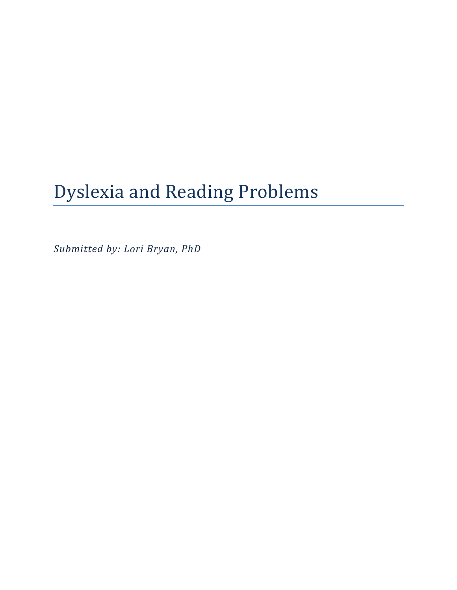# Dyslexia and Reading Problems

*Submitted by: Lori Bryan, PhD*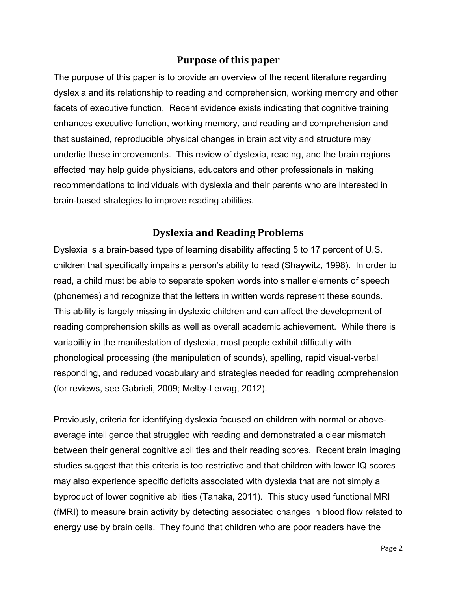# **Purpose of this paper**

The purpose of this paper is to provide an overview of the recent literature regarding dyslexia and its relationship to reading and comprehension, working memory and other facets of executive function. Recent evidence exists indicating that cognitive training enhances executive function, working memory, and reading and comprehension and that sustained, reproducible physical changes in brain activity and structure may underlie these improvements. This review of dyslexia, reading, and the brain regions affected may help guide physicians, educators and other professionals in making recommendations to individuals with dyslexia and their parents who are interested in brain-based strategies to improve reading abilities.

## **Dyslexia and Reading Problems**

Dyslexia is a brain-based type of learning disability affecting 5 to 17 percent of U.S. children that specifically impairs a person's ability to read (Shaywitz, 1998). In order to read, a child must be able to separate spoken words into smaller elements of speech (phonemes) and recognize that the letters in written words represent these sounds. This ability is largely missing in dyslexic children and can affect the development of reading comprehension skills as well as overall academic achievement. While there is variability in the manifestation of dyslexia, most people exhibit difficulty with phonological processing (the manipulation of sounds), spelling, rapid visual-verbal responding, and reduced vocabulary and strategies needed for reading comprehension (for reviews, see Gabrieli, 2009; Melby-Lervag, 2012).

Previously, criteria for identifying dyslexia focused on children with normal or aboveaverage intelligence that struggled with reading and demonstrated a clear mismatch between their general cognitive abilities and their reading scores. Recent brain imaging studies suggest that this criteria is too restrictive and that children with lower IQ scores may also experience specific deficits associated with dyslexia that are not simply a byproduct of lower cognitive abilities (Tanaka, 2011). This study used functional MRI (fMRI) to measure brain activity by detecting associated changes in blood flow related to energy use by brain cells. They found that children who are poor readers have the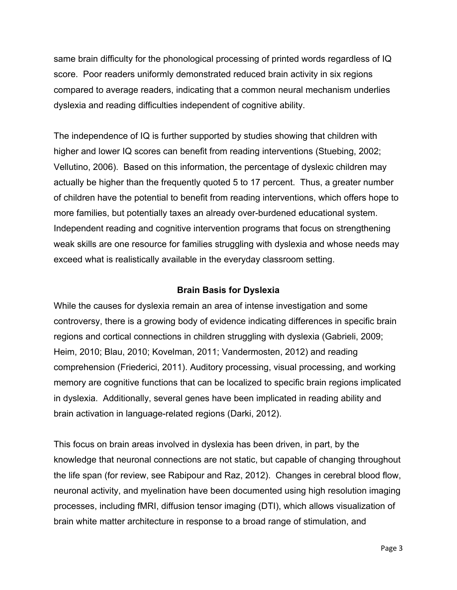same brain difficulty for the phonological processing of printed words regardless of IQ score. Poor readers uniformly demonstrated reduced brain activity in six regions compared to average readers, indicating that a common neural mechanism underlies dyslexia and reading difficulties independent of cognitive ability.

The independence of IQ is further supported by studies showing that children with higher and lower IQ scores can benefit from reading interventions (Stuebing, 2002; Vellutino, 2006). Based on this information, the percentage of dyslexic children may actually be higher than the frequently quoted 5 to 17 percent. Thus, a greater number of children have the potential to benefit from reading interventions, which offers hope to more families, but potentially taxes an already over-burdened educational system. Independent reading and cognitive intervention programs that focus on strengthening weak skills are one resource for families struggling with dyslexia and whose needs may exceed what is realistically available in the everyday classroom setting.

#### **Brain Basis for Dyslexia**

While the causes for dyslexia remain an area of intense investigation and some controversy, there is a growing body of evidence indicating differences in specific brain regions and cortical connections in children struggling with dyslexia (Gabrieli, 2009; Heim, 2010; Blau, 2010; Kovelman, 2011; Vandermosten, 2012) and reading comprehension (Friederici, 2011). Auditory processing, visual processing, and working memory are cognitive functions that can be localized to specific brain regions implicated in dyslexia. Additionally, several genes have been implicated in reading ability and brain activation in language-related regions (Darki, 2012).

This focus on brain areas involved in dyslexia has been driven, in part, by the knowledge that neuronal connections are not static, but capable of changing throughout the life span (for review, see Rabipour and Raz, 2012). Changes in cerebral blood flow, neuronal activity, and myelination have been documented using high resolution imaging processes, including fMRI, diffusion tensor imaging (DTI), which allows visualization of brain white matter architecture in response to a broad range of stimulation, and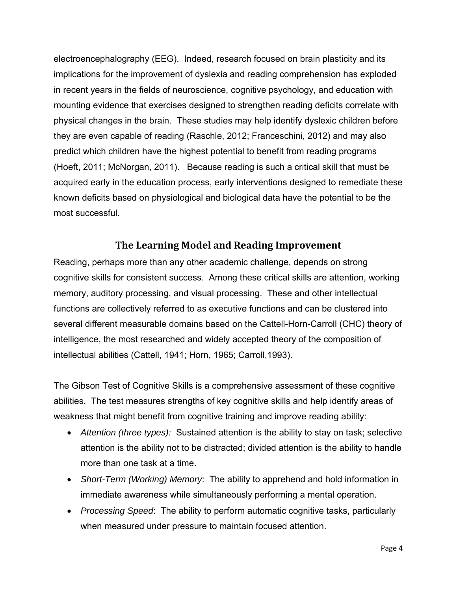electroencephalography (EEG). Indeed, research focused on brain plasticity and its implications for the improvement of dyslexia and reading comprehension has exploded in recent years in the fields of neuroscience, cognitive psychology, and education with mounting evidence that exercises designed to strengthen reading deficits correlate with physical changes in the brain. These studies may help identify dyslexic children before they are even capable of reading (Raschle, 2012; Franceschini, 2012) and may also predict which children have the highest potential to benefit from reading programs (Hoeft, 2011; McNorgan, 2011). Because reading is such a critical skill that must be acquired early in the education process, early interventions designed to remediate these known deficits based on physiological and biological data have the potential to be the most successful.

# **The Learning Model and Reading Improvement**

Reading, perhaps more than any other academic challenge, depends on strong cognitive skills for consistent success. Among these critical skills are attention, working memory, auditory processing, and visual processing. These and other intellectual functions are collectively referred to as executive functions and can be clustered into several different measurable domains based on the Cattell-Horn-Carroll (CHC) theory of intelligence, the most researched and widely accepted theory of the composition of intellectual abilities (Cattell, 1941; Horn, 1965; Carroll,1993).

The Gibson Test of Cognitive Skills is a comprehensive assessment of these cognitive abilities. The test measures strengths of key cognitive skills and help identify areas of weakness that might benefit from cognitive training and improve reading ability:

- *Attention (three types):* Sustained attention is the ability to stay on task; selective attention is the ability not to be distracted; divided attention is the ability to handle more than one task at a time.
- *Short-Term (Working) Memory*: The ability to apprehend and hold information in immediate awareness while simultaneously performing a mental operation.
- *Processing Speed*: The ability to perform automatic cognitive tasks, particularly when measured under pressure to maintain focused attention.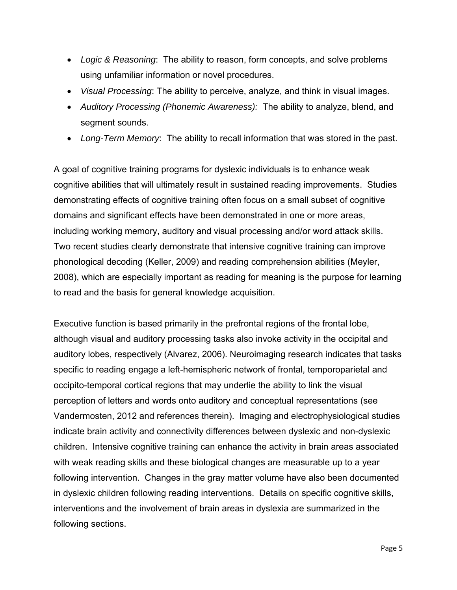- *Logic & Reasoning*: The ability to reason, form concepts, and solve problems using unfamiliar information or novel procedures.
- *Visual Processing*: The ability to perceive, analyze, and think in visual images.
- *Auditory Processing (Phonemic Awareness):* The ability to analyze, blend, and segment sounds.
- *Long-Term Memory*: The ability to recall information that was stored in the past.

A goal of cognitive training programs for dyslexic individuals is to enhance weak cognitive abilities that will ultimately result in sustained reading improvements. Studies demonstrating effects of cognitive training often focus on a small subset of cognitive domains and significant effects have been demonstrated in one or more areas, including working memory, auditory and visual processing and/or word attack skills. Two recent studies clearly demonstrate that intensive cognitive training can improve phonological decoding (Keller, 2009) and reading comprehension abilities (Meyler, 2008), which are especially important as reading for meaning is the purpose for learning to read and the basis for general knowledge acquisition.

Executive function is based primarily in the prefrontal regions of the frontal lobe, although visual and auditory processing tasks also invoke activity in the occipital and auditory lobes, respectively (Alvarez, 2006). Neuroimaging research indicates that tasks specific to reading engage a left-hemispheric network of frontal, temporoparietal and occipito-temporal cortical regions that may underlie the ability to link the visual perception of letters and words onto auditory and conceptual representations (see Vandermosten, 2012 and references therein). Imaging and electrophysiological studies indicate brain activity and connectivity differences between dyslexic and non-dyslexic children. Intensive cognitive training can enhance the activity in brain areas associated with weak reading skills and these biological changes are measurable up to a year following intervention. Changes in the gray matter volume have also been documented in dyslexic children following reading interventions. Details on specific cognitive skills, interventions and the involvement of brain areas in dyslexia are summarized in the following sections.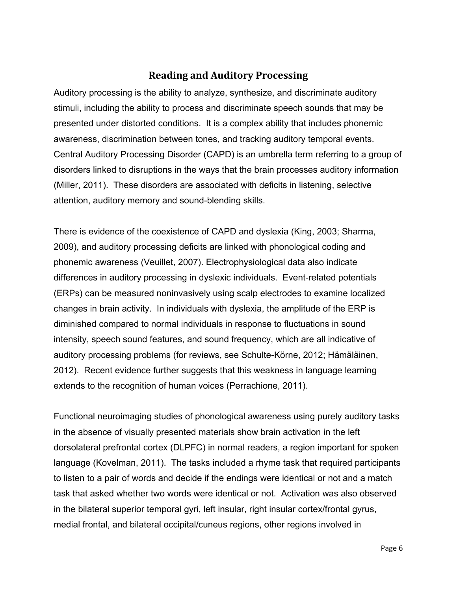# **Reading and Auditory Processing**

Auditory processing is the ability to analyze, synthesize, and discriminate auditory stimuli, including the ability to process and discriminate speech sounds that may be presented under distorted conditions. It is a complex ability that includes phonemic awareness, discrimination between tones, and tracking auditory temporal events. Central Auditory Processing Disorder (CAPD) is an umbrella term referring to a group of disorders linked to disruptions in the ways that the brain processes auditory information (Miller, 2011). These disorders are associated with deficits in listening, selective attention, auditory memory and sound-blending skills.

There is evidence of the coexistence of CAPD and dyslexia (King, 2003; Sharma, 2009), and auditory processing deficits are linked with phonological coding and phonemic awareness (Veuillet, 2007). Electrophysiological data also indicate differences in auditory processing in dyslexic individuals. Event-related potentials (ERPs) can be measured noninvasively using scalp electrodes to examine localized changes in brain activity. In individuals with dyslexia, the amplitude of the ERP is diminished compared to normal individuals in response to fluctuations in sound intensity, speech sound features, and sound frequency, which are all indicative of auditory processing problems (for reviews, see Schulte-Körne, 2012; Hämäläinen, 2012). Recent evidence further suggests that this weakness in language learning extends to the recognition of human voices (Perrachione, 2011).

Functional neuroimaging studies of phonological awareness using purely auditory tasks in the absence of visually presented materials show brain activation in the left dorsolateral prefrontal cortex (DLPFC) in normal readers, a region important for spoken language (Kovelman, 2011). The tasks included a rhyme task that required participants to listen to a pair of words and decide if the endings were identical or not and a match task that asked whether two words were identical or not. Activation was also observed in the bilateral superior temporal gyri, left insular, right insular cortex/frontal gyrus, medial frontal, and bilateral occipital/cuneus regions, other regions involved in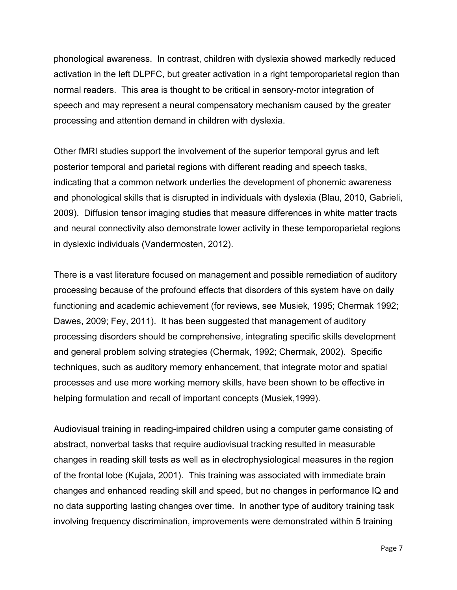phonological awareness. In contrast, children with dyslexia showed markedly reduced activation in the left DLPFC, but greater activation in a right temporoparietal region than normal readers. This area is thought to be critical in sensory-motor integration of speech and may represent a neural compensatory mechanism caused by the greater processing and attention demand in children with dyslexia.

Other fMRI studies support the involvement of the superior temporal gyrus and left posterior temporal and parietal regions with different reading and speech tasks, indicating that a common network underlies the development of phonemic awareness and phonological skills that is disrupted in individuals with dyslexia (Blau, 2010, Gabrieli, 2009). Diffusion tensor imaging studies that measure differences in white matter tracts and neural connectivity also demonstrate lower activity in these temporoparietal regions in dyslexic individuals (Vandermosten, 2012).

There is a vast literature focused on management and possible remediation of auditory processing because of the profound effects that disorders of this system have on daily functioning and academic achievement (for reviews, see Musiek, 1995; Chermak 1992; Dawes, 2009; Fey, 2011). It has been suggested that management of auditory processing disorders should be comprehensive, integrating specific skills development and general problem solving strategies (Chermak, 1992; Chermak, 2002). Specific techniques, such as auditory memory enhancement, that integrate motor and spatial processes and use more working memory skills, have been shown to be effective in helping formulation and recall of important concepts (Musiek,1999).

Audiovisual training in reading-impaired children using a computer game consisting of abstract, nonverbal tasks that require audiovisual tracking resulted in measurable changes in reading skill tests as well as in electrophysiological measures in the region of the frontal lobe (Kujala, 2001). This training was associated with immediate brain changes and enhanced reading skill and speed, but no changes in performance IQ and no data supporting lasting changes over time. In another type of auditory training task involving frequency discrimination, improvements were demonstrated within 5 training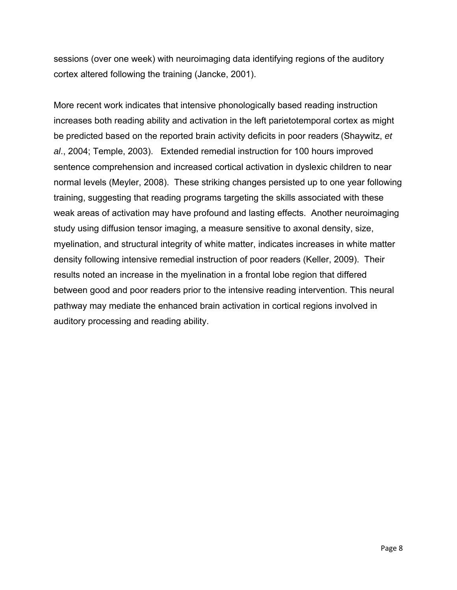sessions (over one week) with neuroimaging data identifying regions of the auditory cortex altered following the training (Jancke, 2001).

More recent work indicates that intensive phonologically based reading instruction increases both reading ability and activation in the left parietotemporal cortex as might be predicted based on the reported brain activity deficits in poor readers (Shaywitz, *et al*., 2004; Temple, 2003). Extended remedial instruction for 100 hours improved sentence comprehension and increased cortical activation in dyslexic children to near normal levels (Meyler, 2008). These striking changes persisted up to one year following training, suggesting that reading programs targeting the skills associated with these weak areas of activation may have profound and lasting effects. Another neuroimaging study using diffusion tensor imaging, a measure sensitive to axonal density, size, myelination, and structural integrity of white matter, indicates increases in white matter density following intensive remedial instruction of poor readers (Keller, 2009). Their results noted an increase in the myelination in a frontal lobe region that differed between good and poor readers prior to the intensive reading intervention. This neural pathway may mediate the enhanced brain activation in cortical regions involved in auditory processing and reading ability.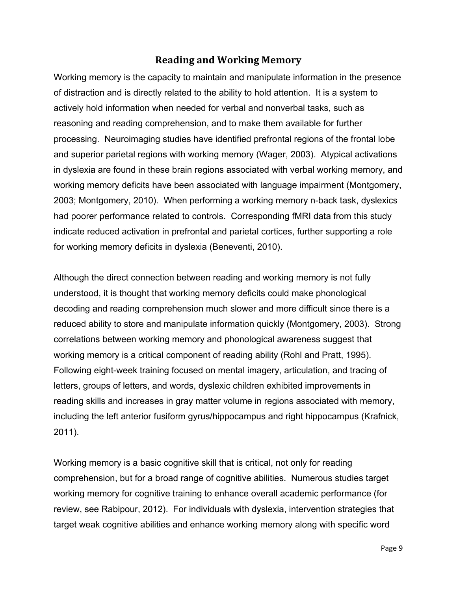# **Reading and Working Memory**

Working memory is the capacity to maintain and manipulate information in the presence of distraction and is directly related to the ability to hold attention. It is a system to actively hold information when needed for verbal and nonverbal tasks, such as reasoning and reading comprehension, and to make them available for further processing. Neuroimaging studies have identified prefrontal regions of the frontal lobe and superior parietal regions with working memory (Wager, 2003). Atypical activations in dyslexia are found in these brain regions associated with verbal working memory, and working memory deficits have been associated with language impairment (Montgomery, 2003; Montgomery, 2010). When performing a working memory n-back task, dyslexics had poorer performance related to controls. Corresponding fMRI data from this study indicate reduced activation in prefrontal and parietal cortices, further supporting a role for working memory deficits in dyslexia (Beneventi, 2010).

Although the direct connection between reading and working memory is not fully understood, it is thought that working memory deficits could make phonological decoding and reading comprehension much slower and more difficult since there is a reduced ability to store and manipulate information quickly (Montgomery, 2003). Strong correlations between working memory and phonological awareness suggest that working memory is a critical component of reading ability (Rohl and Pratt, 1995). Following eight-week training focused on mental imagery, articulation, and tracing of letters, groups of letters, and words, dyslexic children exhibited improvements in reading skills and increases in gray matter volume in regions associated with memory, including the left anterior fusiform gyrus/hippocampus and right hippocampus (Krafnick, 2011).

Working memory is a basic cognitive skill that is critical, not only for reading comprehension, but for a broad range of cognitive abilities. Numerous studies target working memory for cognitive training to enhance overall academic performance (for review, see Rabipour, 2012). For individuals with dyslexia, intervention strategies that target weak cognitive abilities and enhance working memory along with specific word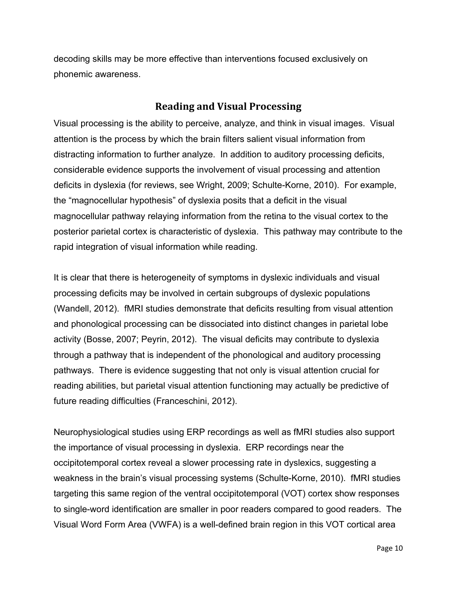decoding skills may be more effective than interventions focused exclusively on phonemic awareness.

## **Reading and Visual Processing**

Visual processing is the ability to perceive, analyze, and think in visual images. Visual attention is the process by which the brain filters salient visual information from distracting information to further analyze. In addition to auditory processing deficits, considerable evidence supports the involvement of visual processing and attention deficits in dyslexia (for reviews, see Wright, 2009; Schulte-Korne, 2010). For example, the "magnocellular hypothesis" of dyslexia posits that a deficit in the visual magnocellular pathway relaying information from the retina to the visual cortex to the posterior parietal cortex is characteristic of dyslexia. This pathway may contribute to the rapid integration of visual information while reading.

It is clear that there is heterogeneity of symptoms in dyslexic individuals and visual processing deficits may be involved in certain subgroups of dyslexic populations (Wandell, 2012). fMRI studies demonstrate that deficits resulting from visual attention and phonological processing can be dissociated into distinct changes in parietal lobe activity (Bosse, 2007; Peyrin, 2012). The visual deficits may contribute to dyslexia through a pathway that is independent of the phonological and auditory processing pathways. There is evidence suggesting that not only is visual attention crucial for reading abilities, but parietal visual attention functioning may actually be predictive of future reading difficulties (Franceschini, 2012).

Neurophysiological studies using ERP recordings as well as fMRI studies also support the importance of visual processing in dyslexia. ERP recordings near the occipitotemporal cortex reveal a slower processing rate in dyslexics, suggesting a weakness in the brain's visual processing systems (Schulte-Korne, 2010). fMRI studies targeting this same region of the ventral occipitotemporal (VOT) cortex show responses to single-word identification are smaller in poor readers compared to good readers. The Visual Word Form Area (VWFA) is a well-defined brain region in this VOT cortical area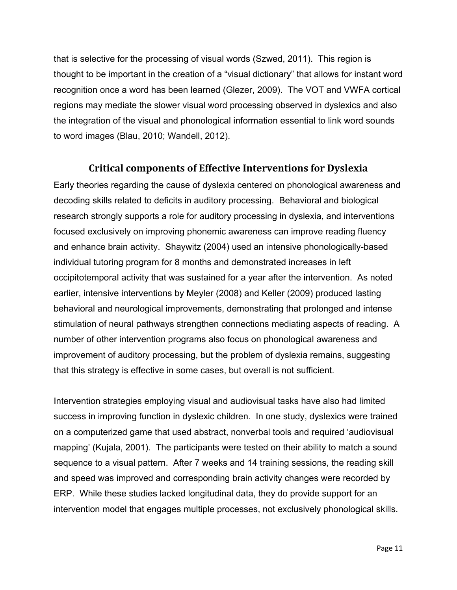that is selective for the processing of visual words (Szwed, 2011). This region is thought to be important in the creation of a "visual dictionary" that allows for instant word recognition once a word has been learned (Glezer, 2009). The VOT and VWFA cortical regions may mediate the slower visual word processing observed in dyslexics and also the integration of the visual and phonological information essential to link word sounds to word images (Blau, 2010; Wandell, 2012).

## **Critical components of Effective Interventions for Dyslexia**

Early theories regarding the cause of dyslexia centered on phonological awareness and decoding skills related to deficits in auditory processing. Behavioral and biological research strongly supports a role for auditory processing in dyslexia, and interventions focused exclusively on improving phonemic awareness can improve reading fluency and enhance brain activity. Shaywitz (2004) used an intensive phonologically-based individual tutoring program for 8 months and demonstrated increases in left occipitotemporal activity that was sustained for a year after the intervention. As noted earlier, intensive interventions by Meyler (2008) and Keller (2009) produced lasting behavioral and neurological improvements, demonstrating that prolonged and intense stimulation of neural pathways strengthen connections mediating aspects of reading. A number of other intervention programs also focus on phonological awareness and improvement of auditory processing, but the problem of dyslexia remains, suggesting that this strategy is effective in some cases, but overall is not sufficient.

Intervention strategies employing visual and audiovisual tasks have also had limited success in improving function in dyslexic children. In one study, dyslexics were trained on a computerized game that used abstract, nonverbal tools and required 'audiovisual mapping' (Kujala, 2001). The participants were tested on their ability to match a sound sequence to a visual pattern. After 7 weeks and 14 training sessions, the reading skill and speed was improved and corresponding brain activity changes were recorded by ERP. While these studies lacked longitudinal data, they do provide support for an intervention model that engages multiple processes, not exclusively phonological skills.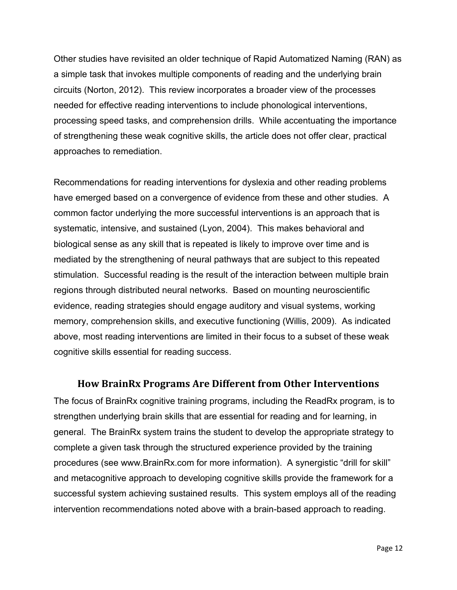Other studies have revisited an older technique of Rapid Automatized Naming (RAN) as a simple task that invokes multiple components of reading and the underlying brain circuits (Norton, 2012). This review incorporates a broader view of the processes needed for effective reading interventions to include phonological interventions, processing speed tasks, and comprehension drills. While accentuating the importance of strengthening these weak cognitive skills, the article does not offer clear, practical approaches to remediation.

Recommendations for reading interventions for dyslexia and other reading problems have emerged based on a convergence of evidence from these and other studies. A common factor underlying the more successful interventions is an approach that is systematic, intensive, and sustained (Lyon, 2004). This makes behavioral and biological sense as any skill that is repeated is likely to improve over time and is mediated by the strengthening of neural pathways that are subject to this repeated stimulation. Successful reading is the result of the interaction between multiple brain regions through distributed neural networks. Based on mounting neuroscientific evidence, reading strategies should engage auditory and visual systems, working memory, comprehension skills, and executive functioning (Willis, 2009). As indicated above, most reading interventions are limited in their focus to a subset of these weak cognitive skills essential for reading success.

#### **How BrainRx Programs Are Different from Other Interventions**

The focus of BrainRx cognitive training programs, including the ReadRx program, is to strengthen underlying brain skills that are essential for reading and for learning, in general. The BrainRx system trains the student to develop the appropriate strategy to complete a given task through the structured experience provided by the training procedures (see www.BrainRx.com for more information). A synergistic "drill for skill" and metacognitive approach to developing cognitive skills provide the framework for a successful system achieving sustained results. This system employs all of the reading intervention recommendations noted above with a brain-based approach to reading.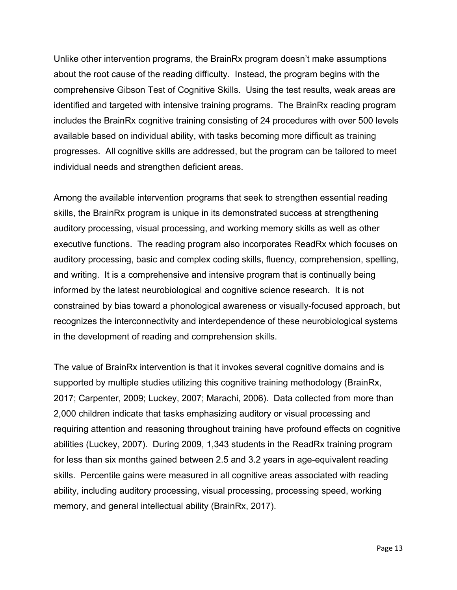Unlike other intervention programs, the BrainRx program doesn't make assumptions about the root cause of the reading difficulty. Instead, the program begins with the comprehensive Gibson Test of Cognitive Skills. Using the test results, weak areas are identified and targeted with intensive training programs. The BrainRx reading program includes the BrainRx cognitive training consisting of 24 procedures with over 500 levels available based on individual ability, with tasks becoming more difficult as training progresses. All cognitive skills are addressed, but the program can be tailored to meet individual needs and strengthen deficient areas.

Among the available intervention programs that seek to strengthen essential reading skills, the BrainRx program is unique in its demonstrated success at strengthening auditory processing, visual processing, and working memory skills as well as other executive functions. The reading program also incorporates ReadRx which focuses on auditory processing, basic and complex coding skills, fluency, comprehension, spelling, and writing. It is a comprehensive and intensive program that is continually being informed by the latest neurobiological and cognitive science research. It is not constrained by bias toward a phonological awareness or visually-focused approach, but recognizes the interconnectivity and interdependence of these neurobiological systems in the development of reading and comprehension skills.

The value of BrainRx intervention is that it invokes several cognitive domains and is supported by multiple studies utilizing this cognitive training methodology (BrainRx, 2017; Carpenter, 2009; Luckey, 2007; Marachi, 2006). Data collected from more than 2,000 children indicate that tasks emphasizing auditory or visual processing and requiring attention and reasoning throughout training have profound effects on cognitive abilities (Luckey, 2007). During 2009, 1,343 students in the ReadRx training program for less than six months gained between 2.5 and 3.2 years in age-equivalent reading skills. Percentile gains were measured in all cognitive areas associated with reading ability, including auditory processing, visual processing, processing speed, working memory, and general intellectual ability (BrainRx, 2017).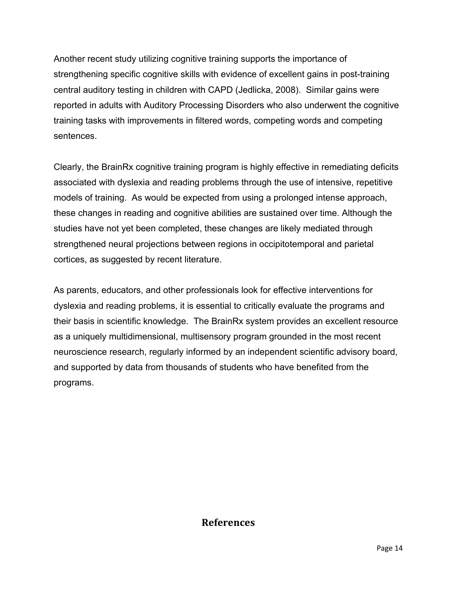Another recent study utilizing cognitive training supports the importance of strengthening specific cognitive skills with evidence of excellent gains in post-training central auditory testing in children with CAPD (Jedlicka, 2008). Similar gains were reported in adults with Auditory Processing Disorders who also underwent the cognitive training tasks with improvements in filtered words, competing words and competing sentences.

Clearly, the BrainRx cognitive training program is highly effective in remediating deficits associated with dyslexia and reading problems through the use of intensive, repetitive models of training. As would be expected from using a prolonged intense approach, these changes in reading and cognitive abilities are sustained over time. Although the studies have not yet been completed, these changes are likely mediated through strengthened neural projections between regions in occipitotemporal and parietal cortices, as suggested by recent literature.

As parents, educators, and other professionals look for effective interventions for dyslexia and reading problems, it is essential to critically evaluate the programs and their basis in scientific knowledge. The BrainRx system provides an excellent resource as a uniquely multidimensional, multisensory program grounded in the most recent neuroscience research, regularly informed by an independent scientific advisory board, and supported by data from thousands of students who have benefited from the programs.

# **References**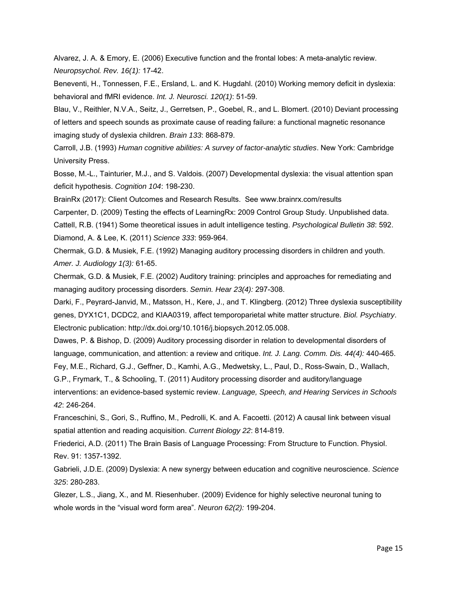Alvarez, J. A. & Emory, E. (2006) Executive function and the frontal lobes: A meta-analytic review. *Neuropsychol. Rev. 16(1):* 17-42.

Beneventi, H., Tonnessen, F.E., Ersland, L. and K. Hugdahl. (2010) Working memory deficit in dyslexia: behavioral and fMRI evidence. *Int. J. Neurosci. 120(1)*: 51-59.

Blau, V., Reithler, N.V.A., Seitz, J., Gerretsen, P., Goebel, R., and L. Blomert. (2010) Deviant processing of letters and speech sounds as proximate cause of reading failure: a functional magnetic resonance imaging study of dyslexia children. *Brain 133*: 868-879.

Carroll, J.B. (1993) *Human cognitive abilities: A survey of factor-analytic studies*. New York: Cambridge University Press.

Bosse, M.-L., Tainturier, M.J., and S. Valdois. (2007) Developmental dyslexia: the visual attention span deficit hypothesis. *Cognition 104*: 198-230.

BrainRx (2017): Client Outcomes and Research Results. See www.brainrx.com/results

Carpenter, D. (2009) Testing the effects of LearningRx: 2009 Control Group Study. Unpublished data.

Cattell, R.B. (1941) Some theoretical issues in adult intelligence testing. *Psychological Bulletin 38*: 592. Diamond, A. & Lee, K. (2011) *Science 333*: 959-964.

Chermak, G.D. & Musiek, F.E. (1992) Managing auditory processing disorders in children and youth. *Amer. J. Audiology 1(3):* 61-65.

Chermak, G.D. & Musiek, F.E. (2002) Auditory training: principles and approaches for remediating and managing auditory processing disorders. *Semin. Hear 23(4):* 297-308.

Darki, F., Peyrard-Janvid, M., Matsson, H., Kere, J., and T. Klingberg. (2012) Three dyslexia susceptibility genes, DYX1C1, DCDC2, and KIAA0319, affect temporoparietal white matter structure. *Biol. Psychiatry*. Electronic publication: http://dx.doi.org/10.1016/j.biopsych.2012.05.008.

Dawes, P. & Bishop, D. (2009) Auditory processing disorder in relation to developmental disorders of language, communication, and attention: a review and critique. *Int. J. Lang. Comm. Dis. 44(4):* 440-465.

Fey, M.E., Richard, G.J., Geffner, D., Kamhi, A.G., Medwetsky, L., Paul, D., Ross-Swain, D., Wallach,

G.P., Frymark, T., & Schooling, T. (2011) Auditory processing disorder and auditory/language

interventions: an evidence-based systemic review. *Language, Speech, and Hearing Services in Schools 42*: 246-264.

Franceschini, S., Gori, S., Ruffino, M., Pedrolli, K. and A. Facoetti. (2012) A causal link between visual spatial attention and reading acquisition. *Current Biology 22*: 814-819.

Friederici, A.D. (2011) The Brain Basis of Language Processing: From Structure to Function. Physiol. Rev. 91: 1357-1392.

Gabrieli, J.D.E. (2009) Dyslexia: A new synergy between education and cognitive neuroscience. *Science 325*: 280-283.

Glezer, L.S., Jiang, X., and M. Riesenhuber. (2009) Evidence for highly selective neuronal tuning to whole words in the "visual word form area". *Neuron 62(2):* 199-204.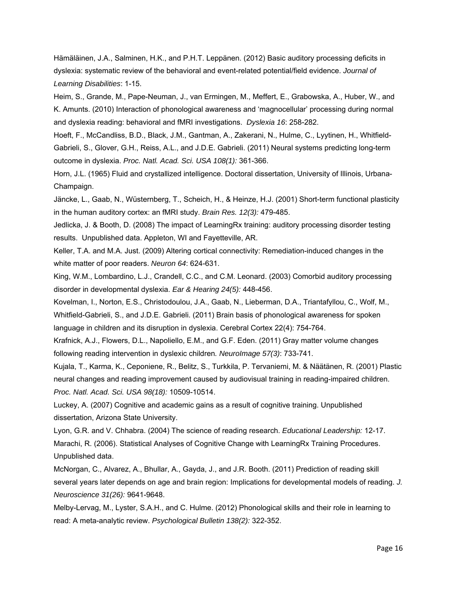Hämäläinen, J.A., Salminen, H.K., and P.H.T. Leppänen. (2012) Basic auditory processing deficits in dyslexia: systematic review of the behavioral and event-related potential/field evidence. *Journal of Learning Disabilities*: 1-15.

Heim, S., Grande, M., Pape-Neuman, J., van Ermingen, M., Meffert, E., Grabowska, A., Huber, W., and K. Amunts. (2010) Interaction of phonological awareness and 'magnocellular' processing during normal and dyslexia reading: behavioral and fMRI investigations. *Dyslexia 16*: 258-282.

Hoeft, F., McCandliss, B.D., Black, J.M., Gantman, A., Zakerani, N., Hulme, C., Lyytinen, H., Whitfield-Gabrieli, S., Glover, G.H., Reiss, A.L., and J.D.E. Gabrieli. (2011) Neural systems predicting long-term outcome in dyslexia. *Proc. Natl. Acad. Sci. USA 108(1):* 361-366.

Horn, J.L. (1965) Fluid and crystallized intelligence. Doctoral dissertation, University of Illinois, Urbana-Champaign.

Jäncke, L., Gaab, N., Wüsternberg, T., Scheich, H., & Heinze, H.J. (2001) Short-term functional plasticity in the human auditory cortex: an fMRI study. *Brain Res. 12(3):* 479-485.

Jedlicka, J. & Booth, D. (2008) The impact of LearningRx training: auditory processing disorder testing results. Unpublished data. Appleton, WI and Fayetteville, AR.

Keller, T.A. and M.A. Just. (2009) Altering cortical connectivity: Remediation-induced changes in the white matter of poor readers. *Neuron 64*: 624-631.

King, W.M., Lombardino, L.J., Crandell, C.C., and C.M. Leonard. (2003) Comorbid auditory processing disorder in developmental dyslexia. *Ear & Hearing 24(5):* 448-456.

Kovelman, I., Norton, E.S., Christodoulou, J.A., Gaab, N., Lieberman, D.A., Triantafyllou, C., Wolf, M., Whitfield-Gabrieli, S., and J.D.E. Gabrieli. (2011) Brain basis of phonological awareness for spoken

language in children and its disruption in dyslexia. Cerebral Cortex 22(4): 754-764.

Krafnick, A.J., Flowers, D.L., Napoliello, E.M., and G.F. Eden. (2011) Gray matter volume changes following reading intervention in dyslexic children*. NeuroImage 57(3)*: 733-741.

Kujala, T., Karma, K., Ceponiene, R., Belitz, S., Turkkila, P. Tervaniemi, M. & Näätänen, R. (2001) Plastic neural changes and reading improvement caused by audiovisual training in reading-impaired children. *Proc. Natl. Acad. Sci. USA 98(18):* 10509-10514.

Luckey, A. (2007) Cognitive and academic gains as a result of cognitive training. Unpublished dissertation, Arizona State University.

Lyon, G.R. and V. Chhabra. (2004) The science of reading research. *Educational Leadership:* 12-17. Marachi, R. (2006). Statistical Analyses of Cognitive Change with LearningRx Training Procedures. Unpublished data.

McNorgan, C., Alvarez, A., Bhullar, A., Gayda, J., and J.R. Booth. (2011) Prediction of reading skill several years later depends on age and brain region: Implications for developmental models of reading. *J. Neuroscience 31(26):* 9641-9648.

Melby-Lervag, M., Lyster, S.A.H., and C. Hulme. (2012) Phonological skills and their role in learning to read: A meta-analytic review. *Psychological Bulletin 138(2):* 322-352.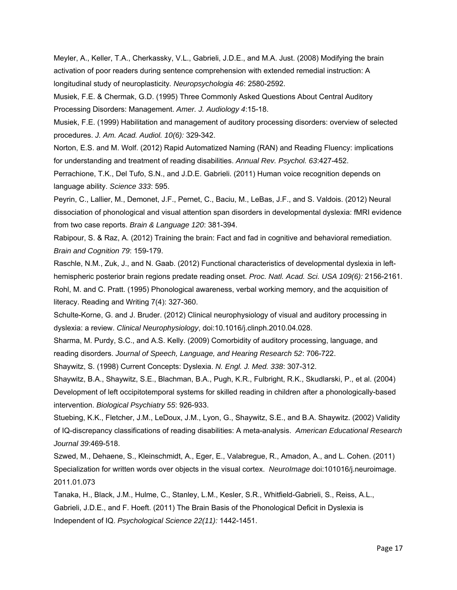Meyler, A., Keller, T.A., Cherkassky, V.L., Gabrieli, J.D.E., and M.A. Just. (2008) Modifying the brain activation of poor readers during sentence comprehension with extended remedial instruction: A longitudinal study of neuroplasticity*. Neuropsychologia 46*: 2580-2592.

Musiek, F.E. & Chermak, G.D. (1995) Three Commonly Asked Questions About Central Auditory Processing Disorders: Management. *Amer. J. Audiology 4*:15-18.

Musiek, F.E. (1999) Habilitation and management of auditory processing disorders: overview of selected procedures. *J. Am. Acad. Audiol. 10(6):* 329-342.

Norton, E.S. and M. Wolf. (2012) Rapid Automatized Naming (RAN) and Reading Fluency: implications for understanding and treatment of reading disabilities. *Annual Rev. Psychol. 63*:427-452.

Perrachione, T.K., Del Tufo, S.N., and J.D.E. Gabrieli. (2011) Human voice recognition depends on language ability. *Science 333*: 595.

Peyrin, C., Lallier, M., Demonet, J.F., Pernet, C., Baciu, M., LeBas, J.F., and S. Valdois. (2012) Neural dissociation of phonological and visual attention span disorders in developmental dyslexia: fMRI evidence from two case reports. *Brain & Language 120*: 381-394.

Rabipour, S. & Raz, A. (2012) Training the brain: Fact and fad in cognitive and behavioral remediation. *Brain and Cognition 79*: 159-179.

Raschle, N.M., Zuk, J., and N. Gaab. (2012) Functional characteristics of developmental dyslexia in lefthemispheric posterior brain regions predate reading onset. *Proc. Natl. Acad. Sci. USA 109(6):* 2156-2161. Rohl, M. and C. Pratt. (1995) Phonological awareness, verbal working memory, and the acquisition of literacy. Reading and Writing 7(4): 327-360.

Schulte-Korne, G. and J. Bruder. (2012) Clinical neurophysiology of visual and auditory processing in dyslexia: a review. *Clinical Neurophysiology*, doi:10.1016/j.clinph.2010.04.028.

Sharma, M. Purdy, S.C., and A.S. Kelly. (2009) Comorbidity of auditory processing, language, and reading disorders. *Journal of Speech, Language, and Hearing Research 52*: 706-722.

Shaywitz, S. (1998) Current Concepts: Dyslexia. *N. Engl. J. Med. 338*: 307-312.

Shaywitz, B.A., Shaywitz, S.E., Blachman, B.A., Pugh, K.R., Fulbright, R.K., Skudlarski, P., et al. (2004) Development of left occipitotemporal systems for skilled reading in children after a phonologically-based intervention. *Biological Psychiatry 55*: 926-933.

Stuebing, K.K., Fletcher, J.M., LeDoux, J.M., Lyon, G., Shaywitz, S.E., and B.A. Shaywitz. (2002) Validity of IQ-discrepancy classifications of reading disabilities: A meta-analysis. *American Educational Research Journal 39*:469-518.

Szwed, M., Dehaene, S., Kleinschmidt, A., Eger, E., Valabregue, R., Amadon, A., and L. Cohen. (2011) Specialization for written words over objects in the visual cortex. *NeuroImage* doi:101016/j.neuroimage. 2011.01.073

Tanaka, H., Black, J.M., Hulme, C., Stanley, L.M., Kesler, S.R., Whitfield-Gabrieli, S., Reiss, A.L., Gabrieli, J.D.E., and F. Hoeft. (2011) The Brain Basis of the Phonological Deficit in Dyslexia is Independent of IQ. *Psychological Science 22(11):* 1442-1451.